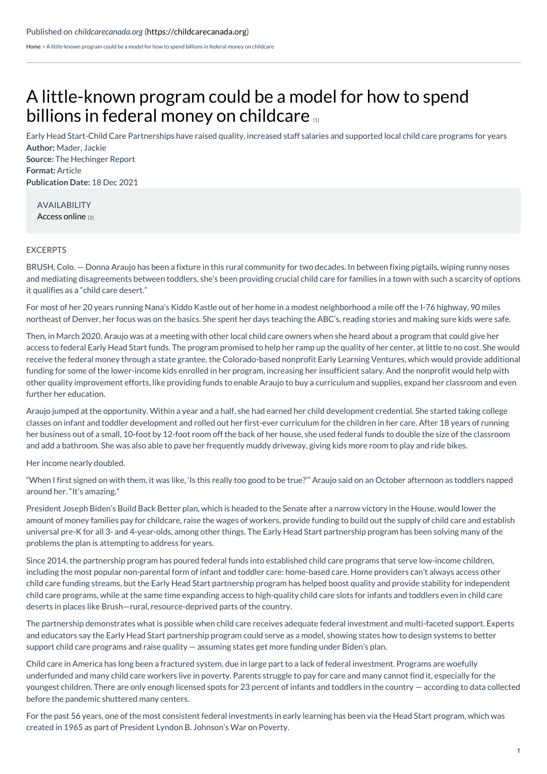[Home](https://childcarecanada.org/) > A little-known program could be a model for how to spend billions in federal money on childcare

# A [little-known](https://childcarecanada.org/documents/child-care-news/22/01/little-known-program-could-be-model-how-spend-billions-federal-money) program could be a model for how to spend billions in federal money on childcare

**Author:** Mader, Jackie **Source:** The Hechinger Report **Format:** Article **Publication Date:** 18 Dec 2021 Early Head Start-Child Care Partnerships have raised quality, increased staff salaries and supported local child care programs for years

AVAILABILITY [Access](https://hechingerreport.org/a-little-known-program-could-be-a-model-for-how-to-spend-billions-in-federal-money-on-childcare/) online [2]

#### EXCERPTS

BRUSH, Colo. — Donna Araujo has been a fixture in this rural community for two decades. In between fixing pigtails, wiping runny noses and mediating disagreements between toddlers, she's been providing crucial child care for families in a town with such a scarcity of options, it qualifies as a "child care desert."

For most of her 20 years running Nana's Kiddo Kastle out of her home in a modest neighborhood a mile off the I-76 highway, 90 miles northeast of Denver, her focus was on the basics. She spent her days teaching the ABC's, reading stories and making sure kids were safe.

Then, in March 2020, Araujo was at a meeting with other local child care owners when she heard about a program that could give her access to federal Early Head Start funds. The program promised to help her ramp up the quality of her center, at little to no cost. She would receive the federal money through a state grantee, the Colorado-based nonprofit Early Learning Ventures, which would provide additional funding for some of the lower-income kids enrolled in her program, increasing her insufficient salary. And the nonprofit would help with other quality improvement efforts, like providing funds to enable Araujo to buy a curriculum and supplies, expand her classroom and even further her education.

Araujo jumped at the opportunity. Within a year and a half, she had earned her child development credential. She started taking college classes on infant and toddler development and rolled out her first-ever curriculum for the children in her care. After 18 years of running her business out of a small, 10-foot by 12-foot room off the back of her house, she used federal funds to double the size of the classroom and add a bathroom. She was also able to pave her frequently muddy driveway, giving kids more room to play and ride bikes.

Her income nearly doubled.

"When I first signed on with them, it was like, 'Is this really too good to be true?'" Araujo said on an October afternoon as toddlers napped around her. "It's amazing."

President Joseph Biden's Build Back Better plan, which is headed to the Senate after a narrow victory in the House, would lower the amount of money families pay for childcare, raise the wages of workers, provide funding to build out the supply of child care and establish universal pre-K for all 3- and 4-year-olds, among other things. The Early Head Start partnership program has been solving many of the problems the plan is attempting to address for years.

Since 2014, the partnership program has poured federal funds into established child care programs that serve low-income children, including the most popular non-parental form of infant and toddler care: home-based care. Home providers can't always access other child care funding streams, but the Early Head Start partnership program has helped boost quality and provide stability for independent child care programs, while at the same time expanding access to high-quality child care slots for infants and toddlers even in child care deserts in places like Brush—rural, resource-deprived parts of the country.

The partnership demonstrates what is possible when child care receives adequate federal investment and multi-faceted support. Experts and educators say the Early Head Start partnership program could serve as a model, showing states how to design systems to better support child care programs and raise quality — assuming states get more funding under Biden's plan.

Child care in America has long been a fractured system, due in large part to a lack of federal investment. Programs are woefully underfunded and many child care workers live in poverty. Parents struggle to pay for care and many cannot find it, especially for the youngest children. There are only enough licensed spots for 23 percent of infants and toddlers in the country — according to data collected before the pandemic shuttered many centers.

For the past 56 years, one of the most consistent federal investments in early learning has been via the Head Start program, which was created in 1965 as part of President Lyndon B. Johnson's War on Poverty.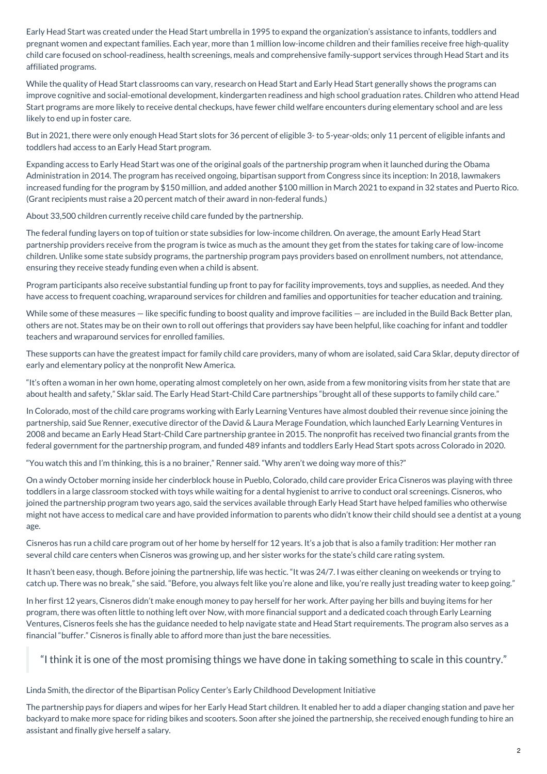Early Head Start was created under the Head Start umbrella in 1995 to expand the organization's assistance to infants, toddlers and pregnant women and expectant families. Each year, more than 1 million low-income children and their families receive free high-quality child care focused on school-readiness, health screenings, meals and comprehensive family-support services through Head Start and its affiliated programs.

While the quality of Head Start classrooms can vary, research on Head Start and Early Head Start generally shows the programs can improve cognitive and social-emotional development, kindergarten readiness and high school graduation rates. Children who attend Head Start programs are more likely to receive dental checkups, have fewer child welfare encounters during elementary school and are less likely to end up in foster care.

But in 2021, there were only enough Head Start slots for 36 percent of eligible 3- to 5-year-olds; only 11 percent of eligible infants and toddlers had access to an Early Head Start program.

Expanding access to Early Head Start was one of the original goals of the partnership program when it launched during the Obama Administration in 2014. The program has received ongoing, bipartisan support from Congress since its inception: In 2018, lawmakers increased funding for the program by \$150 million, and added another \$100 million in March 2021 to expand in 32 states and Puerto Rico. (Grant recipients must raise a 20 percent match of their award in non-federal funds.)

About 33,500 children currently receive child care funded by the partnership.

The federal funding layers on top of tuition or state subsidies for low-income children. On average, the amount Early Head Start partnership providers receive from the program is twice as much as the amount they get from the states for taking care of low-income children. Unlike some state subsidy programs, the partnership program pays providers based on enrollment numbers, not attendance, ensuring they receive steady funding even when a child is absent.

Program participants also receive substantial funding up front to pay for facility improvements, toys and supplies, as needed. And they have access to frequent coaching, wraparound services for children and families and opportunities for teacher education and training.

While some of these measures — like specific funding to boost quality and improve facilities — are included in the Build Back Better plan, others are not. States may be on their own to roll out offerings that providers say have been helpful, like coaching for infant and toddler teachers and wraparound services for enrolled families.

These supports can have the greatest impact for family child care providers, many of whom are isolated, said Cara Sklar, deputy director of early and elementary policy at the nonprofit New America.

"It's often a woman in her own home, operating almost completely on her own, aside from a few monitoring visits from her state that are about health and safety," Sklar said. The Early Head Start-Child Care partnerships "brought all of these supports to family child care."

In Colorado, most of the child care programs working with Early Learning Ventures have almost doubled their revenue since joining the partnership, said Sue Renner, executive director of the David & Laura Merage Foundation, which launched Early Learning Ventures in 2008 and became an Early Head Start-Child Care partnership grantee in 2015. The nonprofit has received two financial grants from the federal government for the partnership program, and funded 489 infants and toddlers Early Head Start spots across Colorado in 2020.

"You watch this and I'm thinking, this is a no brainer," Renner said. "Why aren't we doing way more of this?"

On a windy October morning inside her cinderblock house in Pueblo, Colorado, child care provider Erica Cisneros was playing with three toddlers in a large classroom stocked with toys while waiting for a dental hygienist to arrive to conduct oral screenings. Cisneros, who joined the partnership program two years ago, said the services available through Early Head Start have helped families who otherwise might not have access to medical care and have provided information to parents who didn't know their child should see a dentist at a young age.

Cisneros has run a child care program out of her home by herself for 12 years. It's a job that is also a family tradition: Her mother ran several child care centers when Cisneros was growing up, and her sister works for the state's child care rating system.

It hasn't been easy, though. Before joining the partnership, life was hectic. "It was 24/7. I was either cleaning on weekends or trying to catch up. There was no break," she said. "Before, you always felt like you're alone and like, you're really just treading water to keep going."

In her first 12 years, Cisneros didn't make enough money to pay herself for her work. After paying her bills and buying items for her program, there was often little to nothing left over Now, with more financial support and a dedicated coach through Early Learning Ventures, Cisneros feels she has the guidance needed to help navigate state and Head Start requirements. The program also serves as a financial "buffer." Cisneros is finally able to afford more than just the bare necessities.

## "I think it is one of the most promising things we have done in taking something to scale in this country."

#### Linda Smith, the director of the Bipartisan Policy Center's Early Childhood Development Initiative

The partnership pays for diapers and wipes for her Early Head Start children. It enabled her to add a diaper changing station and pave her backyard to make more space for riding bikes and scooters. Soon after she joined the partnership, she received enough funding to hire an assistant and finally give herself a salary.